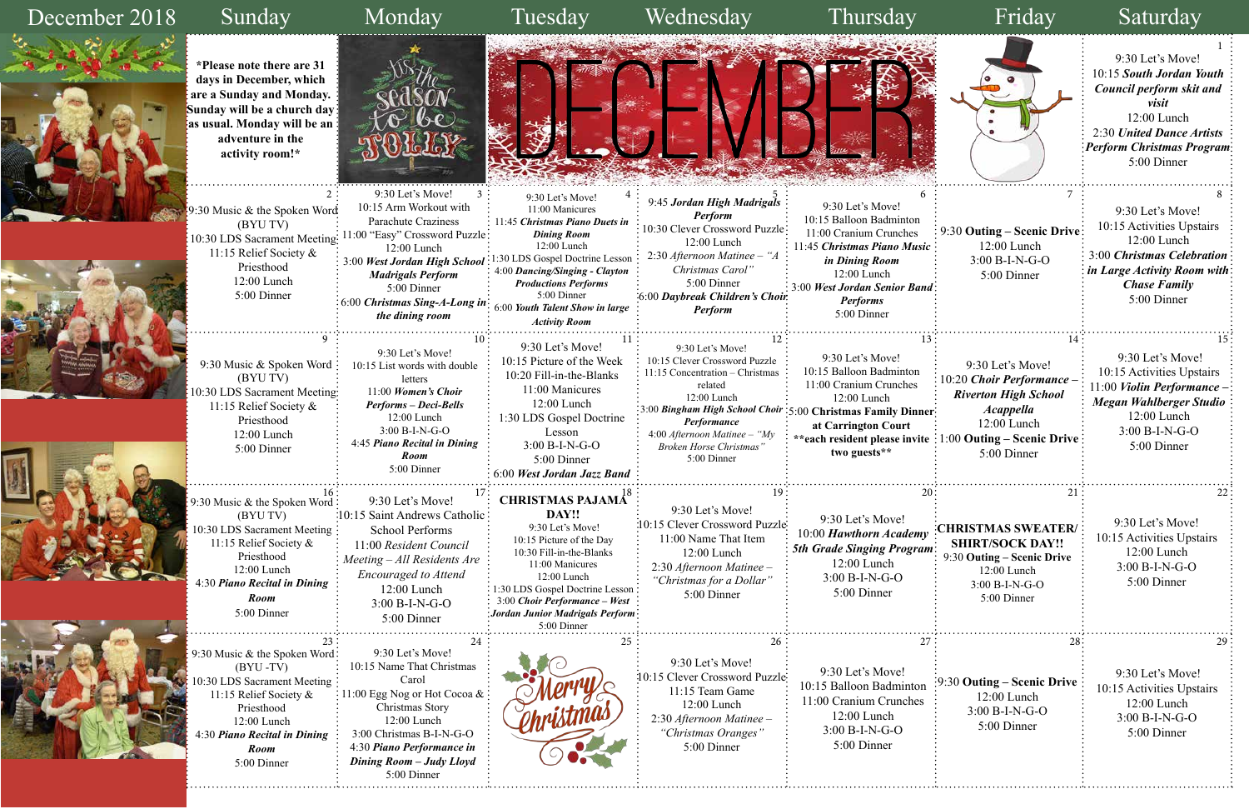Sunday Monday Tuesday Wednesday Thursday Friday Saturday

### December 2018









9:30 Let's Move! 10:15 *South Jordan Youth Council perform skit and visit* 12:00 Lunch 2:30 *United Dance Artists Perform Christmas Program* 5:00 Dinner

9:30 Let's Move! 11:00 Manicures 11:45 *Christmas Piano Duets in Dining Room* 12:00 Lunch

 $2 \frac{2}{3}$  9:30 Let's Move!  $3 \frac{1}{3}$  9:30 Let's Move!  $4 \frac{1}{3}$  9.45 *Leta High Madriqu*ls  $\frac{5}{3}$  6  $\frac{5}{3}$  7  $\frac{6}{3}$  7  $\frac{7}{3}$  8 9:45 *Jordan High Madrigals Perform* 10:30 Clever Crossword Puzzle: 12:00 Lunch 2:30 *Afternoon Matinee – "A Christmas Carol"* 9:30 Let's Move! 10:15 Balloon Badminton 11:00 Cranium Crunches 11:45 *Christmas Piano Music in Dining Room* 12:00 Lunch

4:00 *Dancing/Singing - Clayton Productions Performs* 5:00 Dinner 6:00 *Youth Talent Show in large Activity Room*

5:00 Dinner 6:00 *Daybreak Children's Choir Perform*

3:00 *West Jordan Senior Band Performs* 5:00 Dinner

9:30 Let's Move! 10:15 Activities Upstairs 12:00 Lunch 3:00 *Christmas Celebration in Large Activity Room with Chase Family* 5:00 Dinner

 9:30 Music & Spoken Word (BYU TV) 10:30 LDS Sacrament Meeting 11:15 Relief Society & Priesthood 12:00 Lunch 5:00 Dinner

9:30 Let's Move! 10:15 List words with double letters 11:00 *Women's Choir Performs – Deci-Bells* 12:00 Lunch 3:00 B-I-N-G-O 4:45 *Piano Recital in Dining Room* 5:00 Dinner

9:30 Let's Move! 10:15 Picture of the Week 10:20 Fill-in-the-Blanks 11:00 Manicures 12:00 Lunch 1:30 LDS Gospel Doctrine Lesson 3:00 B-I-N-G-O 5:00 Dinner 6:00 *West Jordan Jazz Band* 

9:30 Let's Move!

related 12:00 Lunch

*Performance*



10:15 Clever Crossword Puzzle 11:15 Concentration – Christmas 3:00 *Bingham High School Choir*  5:00 **Christmas Family Dinner**  4:00 *Afternoon Matinee – "My Broken Horse Christmas"* 9:30 Let's Move! 10:15 Balloon Badminton 11:00 Cranium Crunches 12:00 Lunch **at Carrington Court two guests\*\***

1:30 LDS Gospel Doctrine Lesson 3:00 *West Jordan High School*  9:30 Music & the Spoken Word (BYU TV) 10:30 LDS Sacrament Meeting 11:15 Relief Society & Priesthood 12:00 Lunch 5:00 Dinner 11:00 "Easy" Crossword Puzzle 6:00 *Christmas Sing-A-Long in* 



9:30 Music & the Spoken Word (BYU TV) 10:30 LDS Sacrament Meeting 11:15 Relief Society & Priesthood 12:00 Lunch 4:30 *Piano Recital in Dining Room* 5:00 Dinner

5:00 Dinner 9:30 Let's Move! 10:15 Clever Crossword Puzzle 11:00 Name That Item 12:00 Lunch

 9:30 Music & the Spoken Word (BYU -TV) 10:30 LDS Sacrament Meeting 11:15 Relief Society & Priesthood 12:00 Lunch 4:30 *Piano Recital in Dining Room* 5:00 Dinner



9:30 Let's Move! 10:15 Name That Christmas Carol 11:00 Egg Nog or Hot Cocoa & Christmas Story 12:00 Lunch 3:00 Christmas B-I-N-G-O 4:30 *Piano Performance in Dining Room – Judy Lloyd*  5:00 Dinner

9:30 Let's Move! 10:15 Saint Andrews Catholic School Performs 11:00 *Resident Council Meeting – All Residents Are Encouraged to Attend* 12:00 Lunch 3:00 B-I-N-G-O 5:00 Dinner

2:30 *Afternoon Matinee – "Christmas for a Dollar"*  5:00 Dinner

## **DAY!!**

 9:30 Let's Move! 10:15 Picture of the Day 10:30 Fill-in-the-Blanks 11:00 Manicures 12:00 Lunch 1:30 LDS Gospel Doctrine Lesson 3:00 *Choir Performance – West Jordan Junior Madrigals Perform* 5:00 Dinner



10:15 Arm Workout with Parachute Craziness

12:00 Lunch

*Madrigals Perform* 5:00 Dinner

*the dining room*

 9:30 Let's Move! 10:15 Activities Upstairs 11:00 *Violin Performance – Megan Wahlberger Studio*  12:00 Lunch 3:00 B-I-N-G-O 5:00 Dinner

9:30 Let's Move! 10:15 Activities Upstairs 12:00 Lunch

3:00 B-I-N-G-O 5:00 Dinner

9:30 Let's Move! 10:15 Clever Crossword Puzzle 11:15 Team Game 12:00 Lunch 2:30 *Afternoon Matinee – "Christmas Oranges"* 5:00 Dinner

9:30 Let's Move! 10:15 Balloon Badminton 11:00 Cranium Crunches 12:00 Lunch 3:00 B-I-N-G-O 5:00 Dinner

9:30 Let's Move! 10:00 *Hawthorn Academy 5th Grade Singing Program* 12:00 Lunch 3:00 B-I-N-G-O 5:00 Dinner

9:30 Let's Move!

10:15 Activities Upstairs 12:00 Lunch 3:00 B-I-N-G-O 5:00 Dinner

**\*Please note there are 31 days in December, which are a Sunday and Monday. Sunday will be a church day as usual. Monday will be an adventure in the activity room!\***